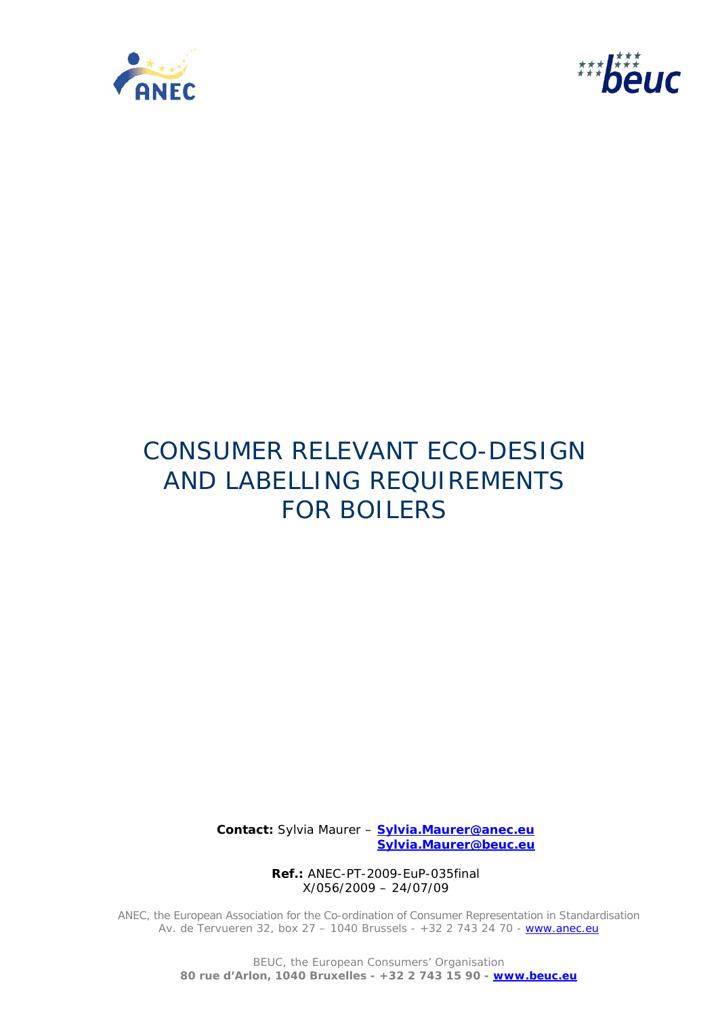



# CONSUMER RELEVANT ECO-DESIGN AND LABELLING REQUIREMENTS FOR BOILERS

 **Contact:** Sylvia Maurer – **Sylvia.Maurer@anec.eu Sylvia.Maurer@beuc.eu**

> **Ref.:** ANEC-PT-2009-EuP-035final X/056/2009 – 24/07/09

ANEC, the European Association for the Co-ordination of Consumer Representation in Standardisation Av. de Tervueren 32, box 27 - 1040 Brussels - +32 2 743 24 70 - www.anec.eu

> BEUC, the European Consumers' Organisation **80 rue d'Arlon, 1040 Bruxelles - +32 2 743 15 90 - www.beuc.eu**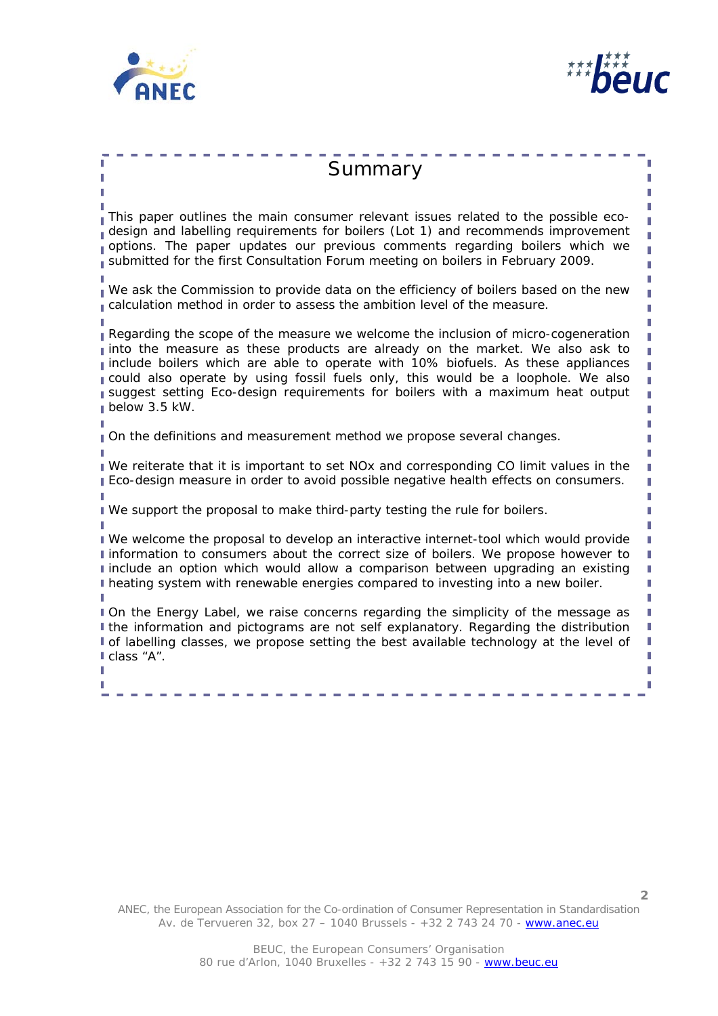



**2**

| Summary                                                                                                                                                                                                                                                                                                                                                                                                                                      |
|----------------------------------------------------------------------------------------------------------------------------------------------------------------------------------------------------------------------------------------------------------------------------------------------------------------------------------------------------------------------------------------------------------------------------------------------|
| This paper outlines the main consumer relevant issues related to the possible eco-<br>design and labelling requirements for boilers (Lot 1) and recommends improvement<br>options. The paper updates our previous comments regarding boilers which we<br>submitted for the first Consultation Forum meeting on boilers in February 2009.                                                                                                     |
| We ask the Commission to provide data on the efficiency of boilers based on the new<br>calculation method in order to assess the ambition level of the measure.                                                                                                                                                                                                                                                                              |
| Regarding the scope of the measure we welcome the inclusion of micro-cogeneration<br>into the measure as these products are already on the market. We also ask to<br>include boilers which are able to operate with 10% biofuels. As these appliances<br>could also operate by using fossil fuels only, this would be a loophole. We also<br>suggest setting Eco-design requirements for boilers with a maximum heat output<br>below 3.5 kW. |
| On the definitions and measurement method we propose several changes.                                                                                                                                                                                                                                                                                                                                                                        |
| We reiterate that it is important to set NOx and corresponding CO limit values in the<br>Eco-design measure in order to avoid possible negative health effects on consumers.                                                                                                                                                                                                                                                                 |
| I We support the proposal to make third-party testing the rule for boilers.                                                                                                                                                                                                                                                                                                                                                                  |
| I We welcome the proposal to develop an interactive internet-tool which would provide<br>I information to consumers about the correct size of boilers. We propose however to<br>I include an option which would allow a comparison between upgrading an existing<br>I heating system with renewable energies compared to investing into a new boiler.                                                                                        |
| On the Energy Label, we raise concerns regarding the simplicity of the message as<br>I the information and pictograms are not self explanatory. Regarding the distribution<br>of labelling classes, we propose setting the best available technology at the level of<br>class "A".                                                                                                                                                           |
|                                                                                                                                                                                                                                                                                                                                                                                                                                              |
|                                                                                                                                                                                                                                                                                                                                                                                                                                              |

ANEC, the European Association for the Co-ordination of Consumer Representation in Standardisation Av. de Tervueren 32, box 27 - 1040 Brussels - +32 2 743 24 70 - www.anec.eu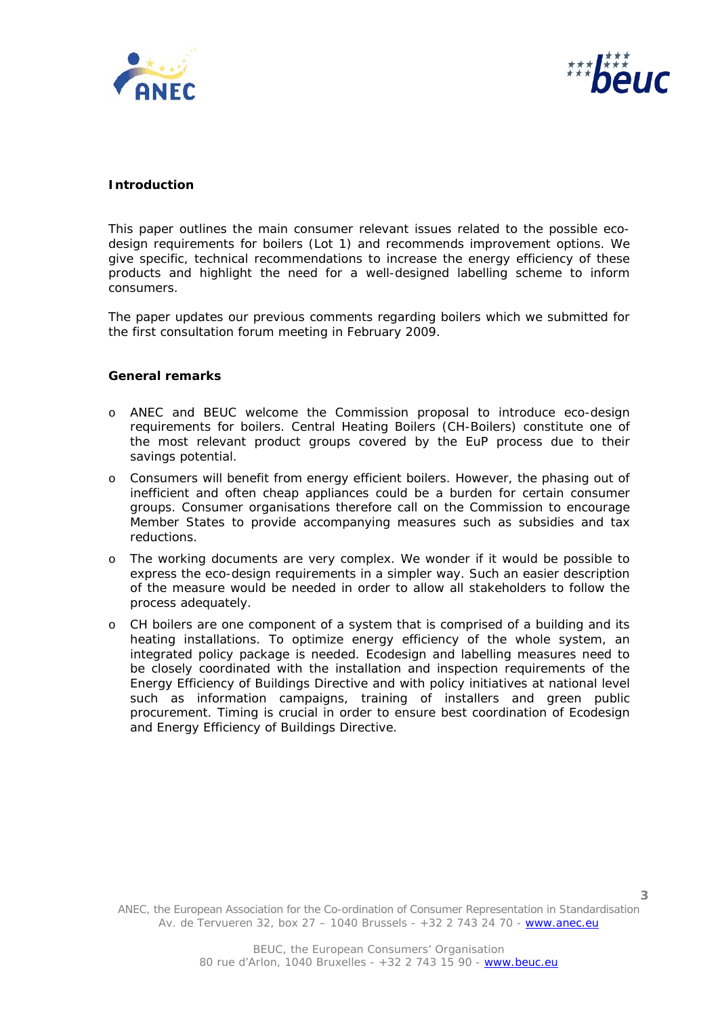



## **Introduction**

This paper outlines the main consumer relevant issues related to the possible ecodesign requirements for boilers (Lot 1) and recommends improvement options. We give specific, technical recommendations to increase the energy efficiency of these products and highlight the need for a well-designed labelling scheme to inform consumers.

The paper updates our previous comments regarding boilers which we submitted for the first consultation forum meeting in February 2009.

#### **General remarks**

- o ANEC and BEUC welcome the Commission proposal to introduce eco-design requirements for boilers. Central Heating Boilers (CH-Boilers) constitute one of the most relevant product groups covered by the EuP process due to their savings potential.
- o Consumers will benefit from energy efficient boilers. However, the phasing out of inefficient and often cheap appliances could be a burden for certain consumer groups. Consumer organisations therefore call on the Commission to encourage Member States to provide accompanying measures such as subsidies and tax reductions.
- o The working documents are very complex. We wonder if it would be possible to express the eco-design requirements in a simpler way. Such an easier description of the measure would be needed in order to allow all stakeholders to follow the process adequately.
- o CH boilers are one component of a system that is comprised of a building and its heating installations. To optimize energy efficiency of the whole system, an integrated policy package is needed. Ecodesign and labelling measures need to be closely coordinated with the installation and inspection requirements of the Energy Efficiency of Buildings Directive and with policy initiatives at national level such as information campaigns, training of installers and green public procurement. Timing is crucial in order to ensure best coordination of Ecodesign and Energy Efficiency of Buildings Directive.

ANEC, the European Association for the Co-ordination of Consumer Representation in Standardisation Av. de Tervueren 32, box 27 – 1040 Brussels - +32 2 743 24 70 - www.anec.eu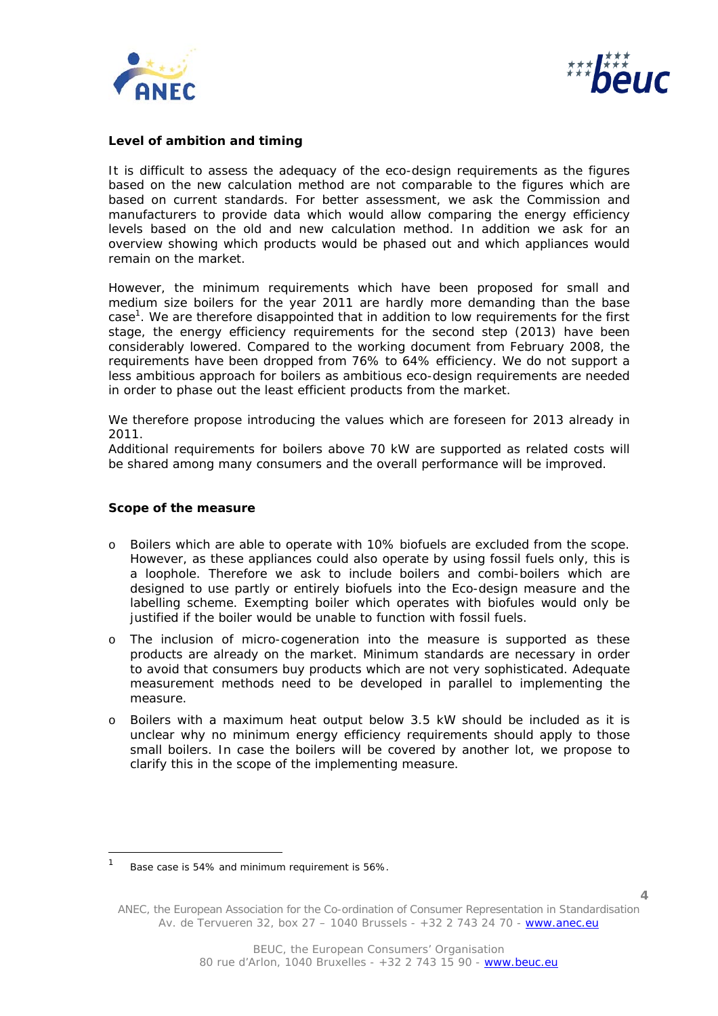



## **Level of ambition and timing**

It is difficult to assess the adequacy of the eco-design requirements as the figures based on the new calculation method are not comparable to the figures which are based on current standards. For better assessment, we ask the Commission and manufacturers to provide data which would allow comparing the energy efficiency levels based on the old and new calculation method. In addition we ask for an overview showing which products would be phased out and which appliances would remain on the market.

However, the minimum requirements which have been proposed for small and medium size boilers for the year 2011 are hardly more demanding than the base case<sup>1</sup>. We are therefore disappointed that in addition to low requirements for the first stage, the energy efficiency requirements for the second step (2013) have been considerably lowered. Compared to the working document from February 2008, the requirements have been dropped from 76% to 64% efficiency. We do not support a less ambitious approach for boilers as ambitious eco-design requirements are needed in order to phase out the least efficient products from the market.

We therefore propose introducing the values which are foreseen for 2013 already in 2011.

Additional requirements for boilers above 70 kW are supported as related costs will be shared among many consumers and the overall performance will be improved.

#### **Scope of the measure**

j.

- o Boilers which are able to operate with 10% biofuels are excluded from the scope. However, as these appliances could also operate by using fossil fuels only, this is a loophole. Therefore we ask to include boilers and combi-boilers which are designed to use partly or entirely biofuels into the Eco-design measure and the labelling scheme. Exempting boiler which operates with biofules would only be justified if the boiler would be unable to function with fossil fuels.
- o The inclusion of micro-cogeneration into the measure is supported as these products are already on the market. Minimum standards are necessary in order to avoid that consumers buy products which are not very sophisticated. Adequate measurement methods need to be developed in parallel to implementing the measure.
- o Boilers with a maximum heat output below 3.5 kW should be included as it is unclear why no minimum energy efficiency requirements should apply to those small boilers. In case the boilers will be covered by another lot, we propose to clarify this in the scope of the implementing measure.

<sup>1</sup> Base case is 54% and minimum requirement is 56%.

ANEC, the European Association for the Co-ordination of Consumer Representation in Standardisation Av. de Tervueren 32, box 27 – 1040 Brussels - +32 2 743 24 70 - www.anec.eu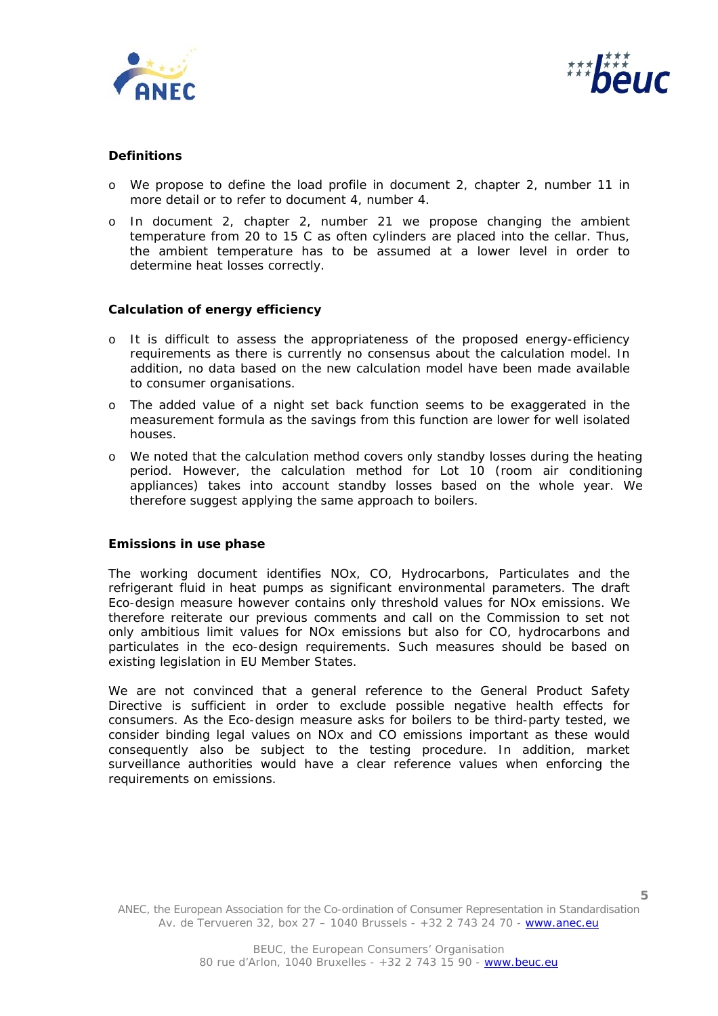



# **Definitions**

- o We propose to define the load profile in document 2, chapter 2, number 11 in more detail or to refer to document 4, number 4.
- o In document 2, chapter 2, number 21 we propose changing the ambient temperature from 20 to 15 C as often cylinders are placed into the cellar. Thus, the ambient temperature has to be assumed at a lower level in order to determine heat losses correctly.

#### **Calculation of energy efficiency**

- o It is difficult to assess the appropriateness of the proposed energy-efficiency requirements as there is currently no consensus about the calculation model. In addition, no data based on the new calculation model have been made available to consumer organisations.
- o The added value of a night set back function seems to be exaggerated in the measurement formula as the savings from this function are lower for well isolated houses.
- o We noted that the calculation method covers only standby losses during the heating period. However, the calculation method for Lot 10 (room air conditioning appliances) takes into account standby losses based on the whole year. We therefore suggest applying the same approach to boilers.

#### **Emissions in use phase**

The working document identifies NOx, CO, Hydrocarbons, Particulates and the refrigerant fluid in heat pumps as significant environmental parameters. The draft Eco-design measure however contains only threshold values for NOx emissions. We therefore reiterate our previous comments and call on the Commission to set not only ambitious limit values for NOx emissions but also for CO, hydrocarbons and particulates in the eco-design requirements. Such measures should be based on existing legislation in EU Member States.

We are not convinced that a general reference to the General Product Safety Directive is sufficient in order to exclude possible negative health effects for consumers. As the Eco-design measure asks for boilers to be third-party tested, we consider binding legal values on NOx and CO emissions important as these would consequently also be subject to the testing procedure. In addition, market surveillance authorities would have a clear reference values when enforcing the requirements on emissions.

ANEC, the European Association for the Co-ordination of Consumer Representation in Standardisation Av. de Tervueren 32, box 27 – 1040 Brussels - +32 2 743 24 70 - www.anec.eu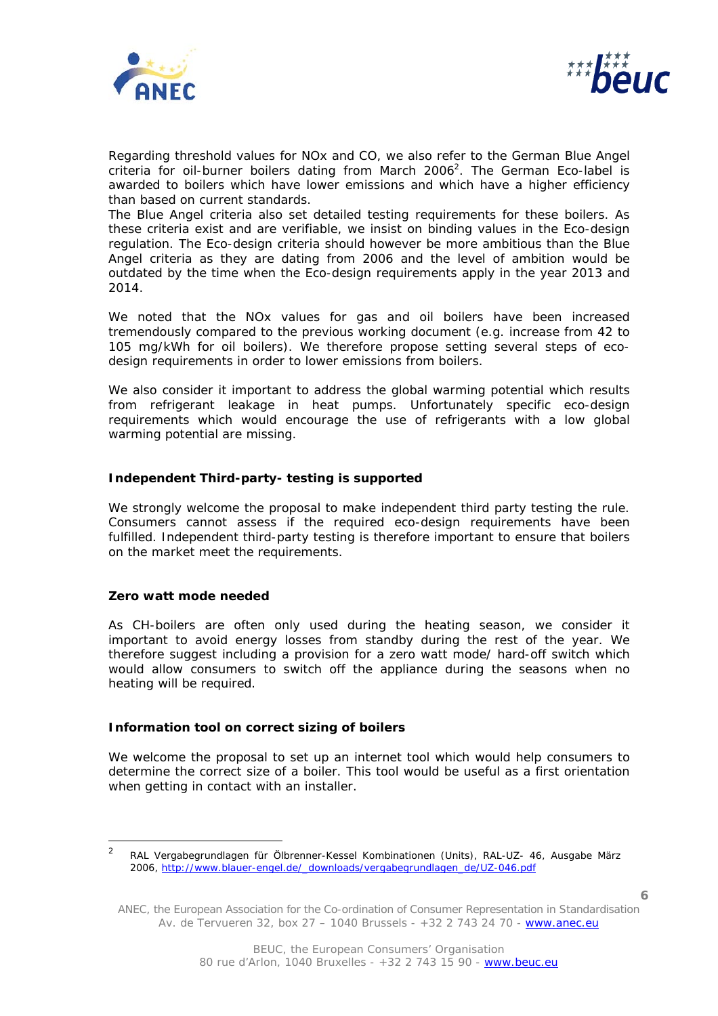



Regarding threshold values for NOx and CO, we also refer to the German Blue Angel criteria for oil-burner boilers dating from March 2006<sup>2</sup>. The German Eco-label is awarded to boilers which have lower emissions and which have a higher efficiency than based on current standards.

The Blue Angel criteria also set detailed testing requirements for these boilers. As these criteria exist and are verifiable, we insist on binding values in the Eco-design regulation. The Eco-design criteria should however be more ambitious than the Blue Angel criteria as they are dating from 2006 and the level of ambition would be outdated by the time when the Eco-design requirements apply in the year 2013 and 2014.

We noted that the NOx values for gas and oil boilers have been increased tremendously compared to the previous working document (e.g. increase from 42 to 105 mg/kWh for oil boilers). We therefore propose setting several steps of ecodesign requirements in order to lower emissions from boilers.

We also consider it important to address the global warming potential which results from refrigerant leakage in heat pumps. Unfortunately specific eco-design requirements which would encourage the use of refrigerants with a low global warming potential are missing.

#### **Independent Third-party- testing is supported**

We strongly welcome the proposal to make independent third party testing the rule. Consumers cannot assess if the required eco-design requirements have been fulfilled. Independent third-party testing is therefore important to ensure that boilers on the market meet the requirements.

#### **Zero watt mode needed**

As CH-boilers are often only used during the heating season, we consider it important to avoid energy losses from standby during the rest of the year. We therefore suggest including a provision for a zero watt mode/ hard-off switch which would allow consumers to switch off the appliance during the seasons when no heating will be required.

# **Information tool on correct sizing of boilers**

We welcome the proposal to set up an internet tool which would help consumers to determine the correct size of a boiler. This tool would be useful as a first orientation when getting in contact with an installer.

**6**

 $\overline{2}$  RAL Vergabegrundlagen für Ölbrenner-Kessel Kombinationen (Units), RAL-UZ- 46, Ausgabe März 2006, http://www.blauer-engel.de/\_downloads/vergabegrundlagen\_de/UZ-046.pdf

ANEC, the European Association for the Co-ordination of Consumer Representation in Standardisation Av. de Tervueren 32, box 27 – 1040 Brussels - +32 2 743 24 70 - www.anec.eu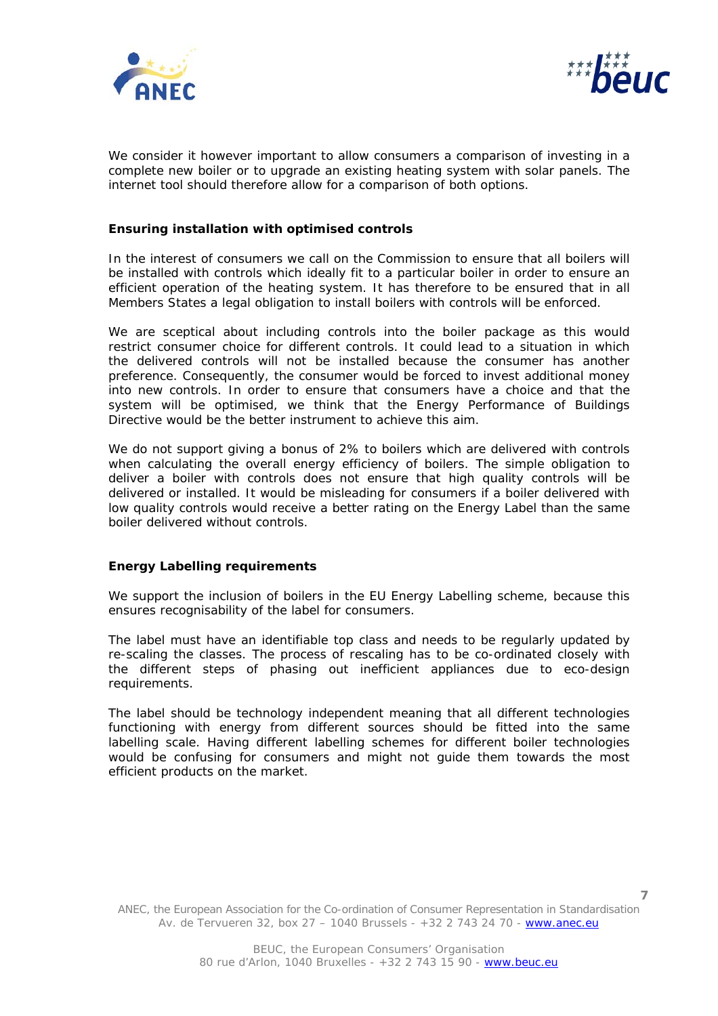



We consider it however important to allow consumers a comparison of investing in a complete new boiler or to upgrade an existing heating system with solar panels. The internet tool should therefore allow for a comparison of both options.

## **Ensuring installation with optimised controls**

In the interest of consumers we call on the Commission to ensure that all boilers will be installed with controls which ideally fit to a particular boiler in order to ensure an efficient operation of the heating system. It has therefore to be ensured that in all Members States a legal obligation to install boilers with controls will be enforced.

We are sceptical about including controls into the boiler package as this would restrict consumer choice for different controls. It could lead to a situation in which the delivered controls will not be installed because the consumer has another preference. Consequently, the consumer would be forced to invest additional money into new controls. In order to ensure that consumers have a choice and that the system will be optimised, we think that the Energy Performance of Buildings Directive would be the better instrument to achieve this aim.

We do not support giving a bonus of 2% to boilers which are delivered with controls when calculating the overall energy efficiency of boilers. The simple obligation to deliver a boiler with controls does not ensure that high quality controls will be delivered or installed. It would be misleading for consumers if a boiler delivered with low quality controls would receive a better rating on the Energy Label than the same boiler delivered without controls.

# **Energy Labelling requirements**

We support the inclusion of boilers in the EU Energy Labelling scheme, because this ensures recognisability of the label for consumers.

The label must have an identifiable top class and needs to be regularly updated by re-scaling the classes. The process of rescaling has to be co-ordinated closely with the different steps of phasing out inefficient appliances due to eco-design requirements.

The label should be technology independent meaning that all different technologies functioning with energy from different sources should be fitted into the same labelling scale. Having different labelling schemes for different boiler technologies would be confusing for consumers and might not guide them towards the most efficient products on the market.

ANEC, the European Association for the Co-ordination of Consumer Representation in Standardisation Av. de Tervueren 32, box 27 - 1040 Brussels - +32 2 743 24 70 - www.anec.eu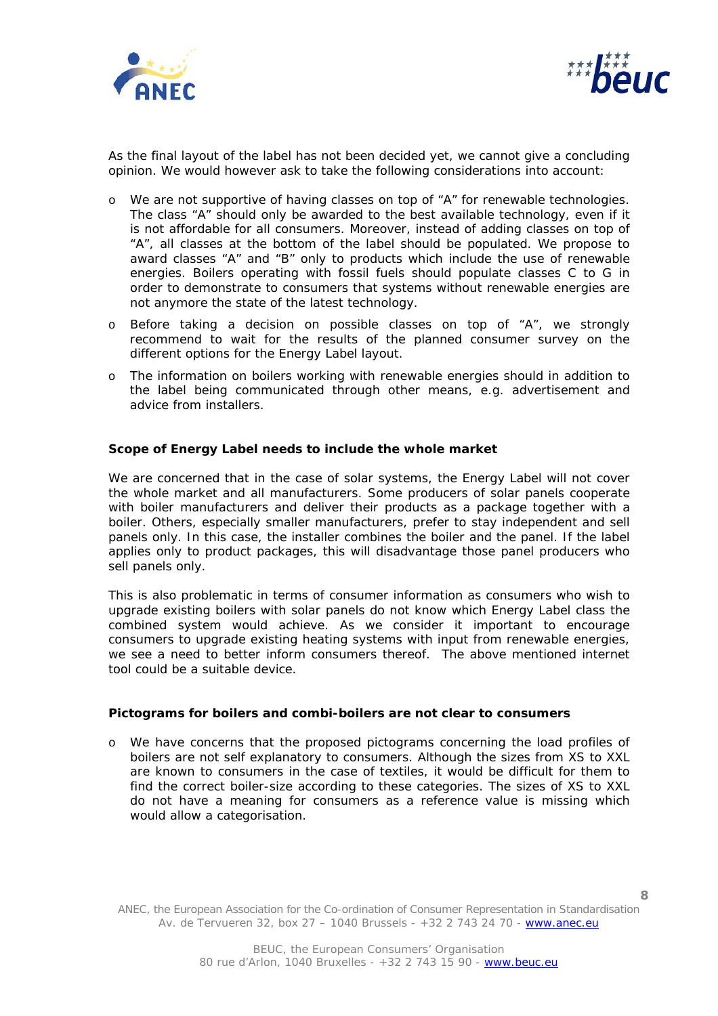



As the final layout of the label has not been decided yet, we cannot give a concluding opinion. We would however ask to take the following considerations into account:

- o We are not supportive of having classes on top of "A" for renewable technologies. The class "A" should only be awarded to the best available technology, even if it is not affordable for all consumers. Moreover, instead of adding classes on top of "A", all classes at the bottom of the label should be populated. We propose to award classes "A" and "B" only to products which include the use of renewable energies. Boilers operating with fossil fuels should populate classes C to G in order to demonstrate to consumers that systems without renewable energies are not anymore the state of the latest technology.
- o Before taking a decision on possible classes on top of "A", we strongly recommend to wait for the results of the planned consumer survey on the different options for the Energy Label layout.
- o The information on boilers working with renewable energies should in addition to the label being communicated through other means, e.g. advertisement and advice from installers.

#### **Scope of Energy Label needs to include the whole market**

We are concerned that in the case of solar systems, the Energy Label will not cover the whole market and all manufacturers. Some producers of solar panels cooperate with boiler manufacturers and deliver their products as a package together with a boiler. Others, especially smaller manufacturers, prefer to stay independent and sell panels only. In this case, the installer combines the boiler and the panel. If the label applies only to product packages, this will disadvantage those panel producers who sell panels only.

This is also problematic in terms of consumer information as consumers who wish to upgrade existing boilers with solar panels do not know which Energy Label class the combined system would achieve. As we consider it important to encourage consumers to upgrade existing heating systems with input from renewable energies, we see a need to better inform consumers thereof. The above mentioned internet tool could be a suitable device.

## **Pictograms for boilers and combi-boilers are not clear to consumers**

o We have concerns that the proposed pictograms concerning the load profiles of boilers are not self explanatory to consumers. Although the sizes from XS to XXL are known to consumers in the case of textiles, it would be difficult for them to find the correct boiler-size according to these categories. The sizes of XS to XXL do not have a meaning for consumers as a reference value is missing which would allow a categorisation.

ANEC, the European Association for the Co-ordination of Consumer Representation in Standardisation Av. de Tervueren 32, box 27 – 1040 Brussels - +32 2 743 24 70 - www.anec.eu